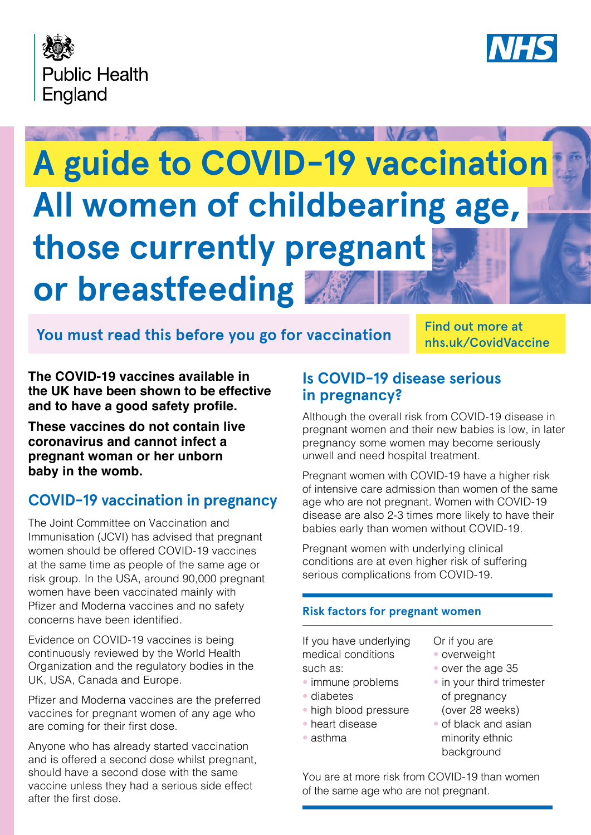



# **A guide to COVID-19 vaccination All women of childbearing age, those currently pregnant or breastfeeding**

## You must read this before you go for vaccination **THIS WALL THIS AND THIS POINT**

Find out more at

**The COVID-19 vaccines available in the UK have been shown to be effective and to have a good safety profle.**

**These vaccines do not contain live coronavirus and cannot infect a pregnant woman or her unborn baby in the womb.**

## **COVID-19 vaccination in pregnancy**

The Joint Committee on Vaccination and Immunisation (JCVI) has advised that pregnant women should be offered COVID-19 vaccines at the same time as people of the same age or risk group. In the USA, around 90,000 pregnant women have been vaccinated mainly with Pfizer and Moderna vaccines and no safety concerns have been identifed.

Evidence on COVID-19 vaccines is being continuously reviewed by the World Health Organization and the regulatory bodies in the UK, USA, Canada and Europe.

Pfizer and Moderna vaccines are the preferred vaccines for pregnant women of any age who are coming for their first dose.

Anyone who has already started vaccination and is offered a second dose whilst pregnant, should have a second dose with the same vaccine unless they had a serious side effect after the first dose.

## **Is COVID-19 disease serious in pregnancy?**

Although the overall risk from COVID-19 disease in pregnant women and their new babies is low, in later pregnancy some women may become seriously unwell and need hospital treatment.

Pregnant women with COVID-19 have a higher risk of intensive care admission than women of the same age who are not pregnant. Women with COVID-19 disease are also 2-3 times more likely to have their babies early than women without COVID-19.

Pregnant women with underlying clinical conditions are at even higher risk of suffering serious complications from COVID-19.

### **Risk factors for pregnant women**

If you have underlying medical conditions such as:

- immune problems
- diabetes
- high blood pressure
- heart disease
- asthma
- Or if you are
- overweight
- over the age 35
- in your third trimester of pregnancy (over 28 weeks)
- of black and asian minority ethnic background

You are at more risk from COVID-19 than women of the same age who are not pregnant.